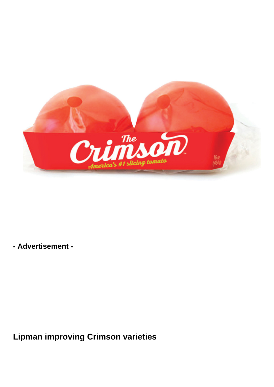

**- Advertisement -**

**Lipman improving Crimson varieties**